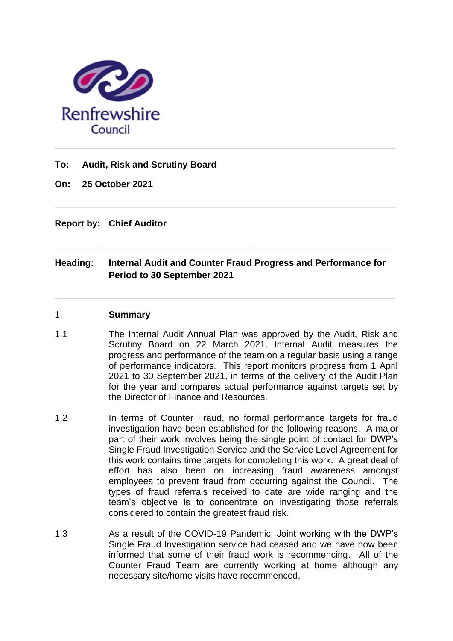

## **To: Audit, Risk and Scrutiny Board**

**On: 25 October 2021**

## **Report by: Chief Auditor**

# **Heading: Internal Audit and Counter Fraud Progress and Performance for Period to 30 September 2021**

**\_\_\_\_\_\_\_\_\_\_\_\_\_\_\_\_\_\_\_\_\_\_\_\_\_\_\_\_\_\_\_\_\_\_\_\_\_\_\_\_\_\_\_\_\_\_\_\_\_\_\_\_\_\_\_\_\_\_\_\_\_\_\_\_\_\_\_**

**\_\_\_\_\_\_\_\_\_\_\_\_\_\_\_\_\_\_\_\_\_\_\_\_\_\_\_\_\_\_\_\_\_\_\_\_\_\_\_\_\_\_\_\_\_\_\_\_\_\_\_\_\_\_\_\_\_\_\_\_\_\_\_\_\_\_\_**

**\_\_\_\_\_\_\_\_\_\_\_\_\_\_\_\_\_\_\_\_\_\_\_\_\_\_\_\_\_\_\_\_\_\_\_\_\_\_\_\_\_\_\_\_\_\_\_\_\_\_\_\_\_\_\_\_\_\_\_\_\_\_\_\_\_\_\_**

#### 1. **Summary**

- 1.1 The Internal Audit Annual Plan was approved by the Audit, Risk and Scrutiny Board on 22 March 2021. Internal Audit measures the progress and performance of the team on a regular basis using a range of performance indicators. This report monitors progress from 1 April 2021 to 30 September 2021, in terms of the delivery of the Audit Plan for the year and compares actual performance against targets set by the Director of Finance and Resources.
- 1.2 In terms of Counter Fraud, no formal performance targets for fraud investigation have been established for the following reasons. A major part of their work involves being the single point of contact for DWP's Single Fraud Investigation Service and the Service Level Agreement for this work contains time targets for completing this work. A great deal of effort has also been on increasing fraud awareness amongst employees to prevent fraud from occurring against the Council. The types of fraud referrals received to date are wide ranging and the team's objective is to concentrate on investigating those referrals considered to contain the greatest fraud risk.
- 1.3 As a result of the COVID-19 Pandemic, Joint working with the DWP's Single Fraud Investigation service had ceased and we have now been informed that some of their fraud work is recommencing. All of the Counter Fraud Team are currently working at home although any necessary site/home visits have recommenced.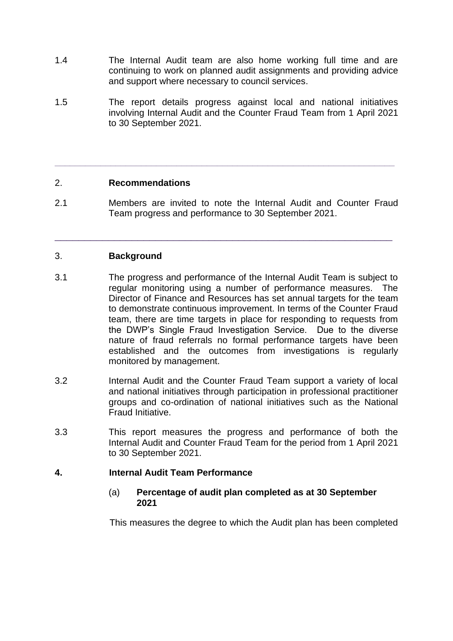- 1.4 The Internal Audit team are also home working full time and are continuing to work on planned audit assignments and providing advice and support where necessary to council services.
- 1.5 The report details progress against local and national initiatives involving Internal Audit and the Counter Fraud Team from 1 April 2021 to 30 September 2021.

#### 2. **Recommendations**

2.1 Members are invited to note the Internal Audit and Counter Fraud Team progress and performance to 30 September 2021.

\_\_\_\_\_\_\_\_\_\_\_\_\_\_\_\_\_\_\_\_\_\_\_\_\_\_\_\_\_\_\_\_\_\_\_\_\_\_\_\_\_\_\_\_\_\_\_\_\_\_\_\_\_\_\_\_\_

**\_\_\_\_\_\_\_\_\_\_\_\_\_\_\_\_\_\_\_\_\_\_\_\_\_\_\_\_\_\_\_\_\_\_\_\_\_\_\_\_\_\_\_\_\_\_\_\_\_\_\_\_\_\_\_\_\_\_\_\_\_\_\_\_\_\_\_**

## 3. **Background**

- 3.1 The progress and performance of the Internal Audit Team is subject to regular monitoring using a number of performance measures. The Director of Finance and Resources has set annual targets for the team to demonstrate continuous improvement. In terms of the Counter Fraud team, there are time targets in place for responding to requests from the DWP's Single Fraud Investigation Service. Due to the diverse nature of fraud referrals no formal performance targets have been established and the outcomes from investigations is regularly monitored by management.
- 3.2 Internal Audit and the Counter Fraud Team support a variety of local and national initiatives through participation in professional practitioner groups and co-ordination of national initiatives such as the National Fraud Initiative.
- 3.3 This report measures the progress and performance of both the Internal Audit and Counter Fraud Team for the period from 1 April 2021 to 30 September 2021.

#### **4. Internal Audit Team Performance**

(a) **Percentage of audit plan completed as at 30 September 2021**

This measures the degree to which the Audit plan has been completed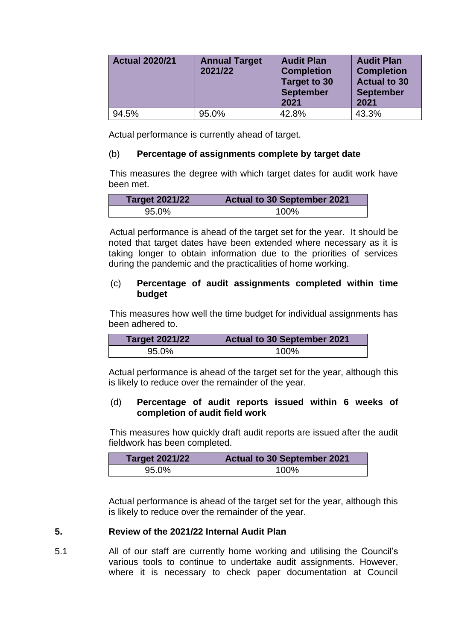| <b>Actual 2020/21</b> | <b>Annual Target</b><br>2021/22 | <b>Audit Plan</b><br><b>Completion</b><br><b>Target to 30</b><br><b>September</b><br>2021 | <b>Audit Plan</b><br><b>Completion</b><br><b>Actual to 30</b><br><b>September</b><br>2021 |
|-----------------------|---------------------------------|-------------------------------------------------------------------------------------------|-------------------------------------------------------------------------------------------|
| 94.5%                 | 95.0%                           | 42.8%                                                                                     | 43.3%                                                                                     |

Actual performance is currently ahead of target.

#### (b) **Percentage of assignments complete by target date**

This measures the degree with which target dates for audit work have been met.

| <b>Target 2021/22</b> | <b>Actual to 30 September 2021</b> |  |
|-----------------------|------------------------------------|--|
| 95.0%                 | 100%                               |  |

Actual performance is ahead of the target set for the year. It should be noted that target dates have been extended where necessary as it is taking longer to obtain information due to the priorities of services during the pandemic and the practicalities of home working.

## (c) **Percentage of audit assignments completed within time budget**

This measures how well the time budget for individual assignments has been adhered to.

| <b>Target 2021/22</b> | <b>Actual to 30 September 2021</b> |  |
|-----------------------|------------------------------------|--|
| 95.0%                 | 100%                               |  |

Actual performance is ahead of the target set for the year, although this is likely to reduce over the remainder of the year.

## (d) **Percentage of audit reports issued within 6 weeks of completion of audit field work**

This measures how quickly draft audit reports are issued after the audit fieldwork has been completed.

| <b>Target 2021/22</b><br><b>Actual to 30 September 2021</b> |      |
|-------------------------------------------------------------|------|
| 95.0%                                                       | 100% |

Actual performance is ahead of the target set for the year, although this is likely to reduce over the remainder of the year.

## **5. Review of the 2021/22 Internal Audit Plan**

5.1 All of our staff are currently home working and utilising the Council's various tools to continue to undertake audit assignments. However, where it is necessary to check paper documentation at Council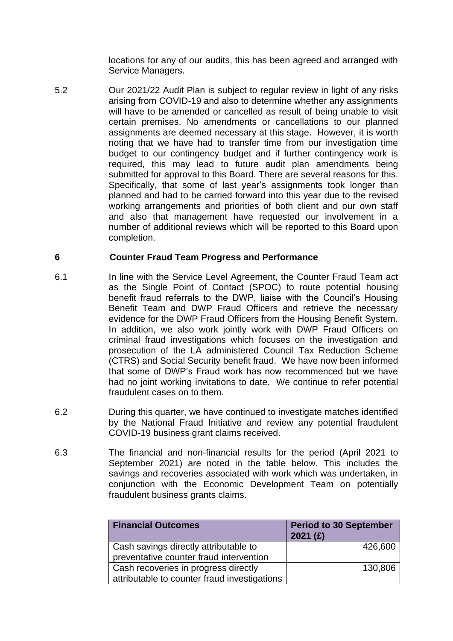locations for any of our audits, this has been agreed and arranged with Service Managers.

5.2 Our 2021/22 Audit Plan is subject to regular review in light of any risks arising from COVID-19 and also to determine whether any assignments will have to be amended or cancelled as result of being unable to visit certain premises. No amendments or cancellations to our planned assignments are deemed necessary at this stage. However, it is worth noting that we have had to transfer time from our investigation time budget to our contingency budget and if further contingency work is required, this may lead to future audit plan amendments being submitted for approval to this Board. There are several reasons for this. Specifically, that some of last year's assignments took longer than planned and had to be carried forward into this year due to the revised working arrangements and priorities of both client and our own staff and also that management have requested our involvement in a number of additional reviews which will be reported to this Board upon completion.

# **6 Counter Fraud Team Progress and Performance**

- 6.1 In line with the Service Level Agreement, the Counter Fraud Team act as the Single Point of Contact (SPOC) to route potential housing benefit fraud referrals to the DWP, liaise with the Council's Housing Benefit Team and DWP Fraud Officers and retrieve the necessary evidence for the DWP Fraud Officers from the Housing Benefit System. In addition, we also work jointly work with DWP Fraud Officers on criminal fraud investigations which focuses on the investigation and prosecution of the LA administered Council Tax Reduction Scheme (CTRS) and Social Security benefit fraud. We have now been informed that some of DWP's Fraud work has now recommenced but we have had no joint working invitations to date. We continue to refer potential fraudulent cases on to them.
- 6.2 During this quarter, we have continued to investigate matches identified by the National Fraud Initiative and review any potential fraudulent COVID-19 business grant claims received.
- 6.3 The financial and non-financial results for the period (April 2021 to September 2021) are noted in the table below. This includes the savings and recoveries associated with work which was undertaken, in conjunction with the Economic Development Team on potentially fraudulent business grants claims.

| <b>Financial Outcomes</b>                    | <b>Period to 30 September</b><br>2021(f) |  |
|----------------------------------------------|------------------------------------------|--|
| Cash savings directly attributable to        | 426,600                                  |  |
| preventative counter fraud intervention      |                                          |  |
| Cash recoveries in progress directly         | 130,806                                  |  |
| attributable to counter fraud investigations |                                          |  |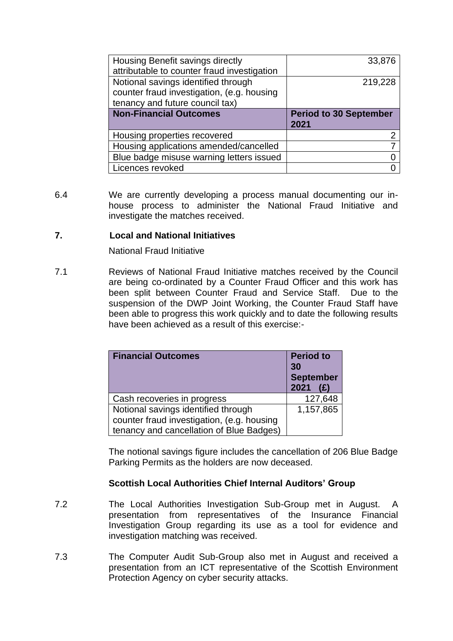| Housing Benefit savings directly            | 33,876                        |
|---------------------------------------------|-------------------------------|
| attributable to counter fraud investigation |                               |
| Notional savings identified through         | 219,228                       |
| counter fraud investigation, (e.g. housing  |                               |
| tenancy and future council tax)             |                               |
|                                             |                               |
| <b>Non-Financial Outcomes</b>               | <b>Period to 30 September</b> |
|                                             | 2021                          |
| Housing properties recovered                | າ                             |
| Housing applications amended/cancelled      |                               |
| Blue badge misuse warning letters issued    |                               |

6.4 We are currently developing a process manual documenting our inhouse process to administer the National Fraud Initiative and investigate the matches received.

# **7. Local and National Initiatives**

National Fraud Initiative

7.1 Reviews of National Fraud Initiative matches received by the Council are being co-ordinated by a Counter Fraud Officer and this work has been split between Counter Fraud and Service Staff. Due to the suspension of the DWP Joint Working, the Counter Fraud Staff have been able to progress this work quickly and to date the following results have been achieved as a result of this exercise:-

| <b>Financial Outcomes</b>                  | <b>Period to</b><br>30<br><b>September</b> |
|--------------------------------------------|--------------------------------------------|
|                                            | 2021<br>(E)                                |
| Cash recoveries in progress                | 127,648                                    |
| Notional savings identified through        | 1,157,865                                  |
| counter fraud investigation, (e.g. housing |                                            |
| tenancy and cancellation of Blue Badges)   |                                            |

The notional savings figure includes the cancellation of 206 Blue Badge Parking Permits as the holders are now deceased.

## **Scottish Local Authorities Chief Internal Auditors' Group**

- 7.2 The Local Authorities Investigation Sub-Group met in August. A presentation from representatives of the Insurance Financial Investigation Group regarding its use as a tool for evidence and investigation matching was received.
- 7.3 The Computer Audit Sub-Group also met in August and received a presentation from an ICT representative of the Scottish Environment Protection Agency on cyber security attacks.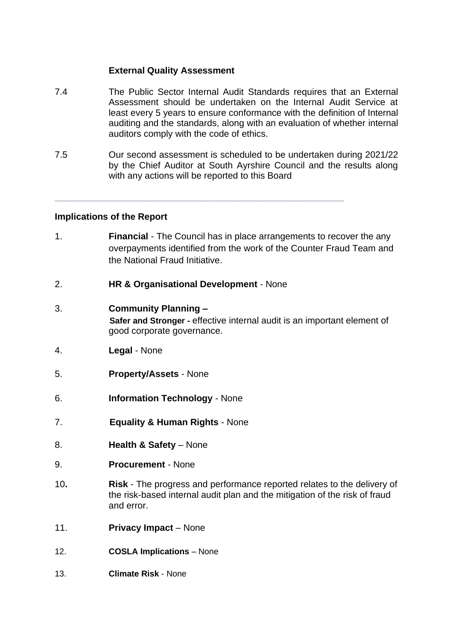## **External Quality Assessment**

- 7.4 The Public Sector Internal Audit Standards requires that an External Assessment should be undertaken on the InternaI Audit Service at least every 5 years to ensure conformance with the definition of Internal auditing and the standards, along with an evaluation of whether internal auditors comply with the code of ethics.
- 7.5 Our second assessment is scheduled to be undertaken during 2021/22 by the Chief Auditor at South Ayrshire Council and the results along with any actions will be reported to this Board

**\_\_\_\_\_\_\_\_\_\_\_\_\_\_\_\_\_\_\_\_\_\_\_\_\_\_\_\_\_\_\_\_\_\_\_\_\_\_\_\_\_\_\_\_\_\_\_\_\_\_\_\_\_\_\_\_\_**

# **Implications of the Report**

- 1. **Financial**  The Council has in place arrangements to recover the any overpayments identified from the work of the Counter Fraud Team and the National Fraud Initiative.
- 2. **HR & Organisational Development**  None
- 3. **Community Planning – Safer and Stronger -** effective internal audit is an important element of good corporate governance.
- 4. **Legal**  None
- 5. **Property/Assets**  None
- 6. **Information Technology**  None
- 7. **Equality & Human Rights** None
- 8. **Health & Safety**  None
- 9. **Procurement**  None
- 10**. Risk**  The progress and performance reported relates to the delivery of the risk-based internal audit plan and the mitigation of the risk of fraud and error.
- 11. **Privacy Impact**  None
- 12. **COSLA Implications**  None
- 13. **Climate Risk** None